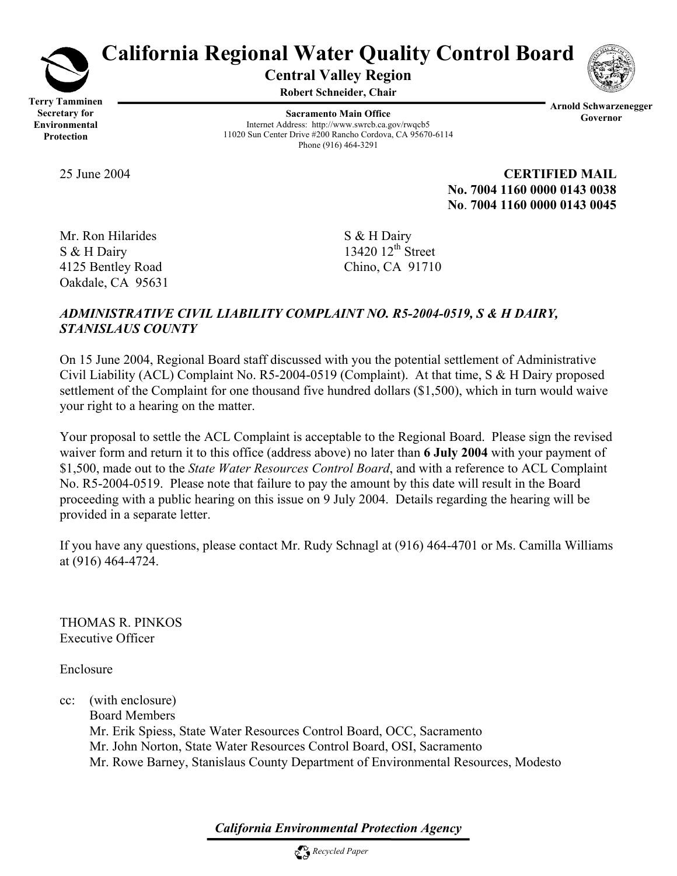

# **California Regional Water Quality Control Board**

**Central Valley Region** 

**Robert Schneider, Chair**

**Terry Tamminen Secretary for Environmental Protection** 

**Sacramento Main Office** Internet Address: http://www.swrcb.ca.gov/rwqcb5 11020 Sun Center Drive #200 Rancho Cordova, CA 95670-6114 Phone (916) 464-3291

**Arnold Schwarzenegger Governor** 

25 June 2004 **CERTIFIED MAIL No. 7004 1160 0000 0143 0038 No**. **7004 1160 0000 0143 0045**

Mr. Ron Hilarides S & H Dairy  $S & H$  Dairy 13420 12<sup>th</sup> Street 4125 Bentley Road Chino, CA 91710 Oakdale, CA 95631

## *ADMINISTRATIVE CIVIL LIABILITY COMPLAINT NO. R5-2004-0519, S & H DAIRY, STANISLAUS COUNTY*

On 15 June 2004, Regional Board staff discussed with you the potential settlement of Administrative Civil Liability (ACL) Complaint No. R5-2004-0519 (Complaint). At that time, S & H Dairy proposed settlement of the Complaint for one thousand five hundred dollars (\$1,500), which in turn would waive your right to a hearing on the matter.

Your proposal to settle the ACL Complaint is acceptable to the Regional Board. Please sign the revised waiver form and return it to this office (address above) no later than **6 July 2004** with your payment of \$1,500, made out to the *State Water Resources Control Board*, and with a reference to ACL Complaint No. R5-2004-0519. Please note that failure to pay the amount by this date will result in the Board proceeding with a public hearing on this issue on 9 July 2004. Details regarding the hearing will be provided in a separate letter.

If you have any questions, please contact Mr. Rudy Schnagl at (916) 464-4701 or Ms. Camilla Williams at (916) 464-4724.

THOMAS R. PINKOS Executive Officer

Enclosure

cc: (with enclosure) Board Members Mr. Erik Spiess, State Water Resources Control Board, OCC, Sacramento Mr. John Norton, State Water Resources Control Board, OSI, Sacramento Mr. Rowe Barney, Stanislaus County Department of Environmental Resources, Modesto

*California Environmental Protection Agency*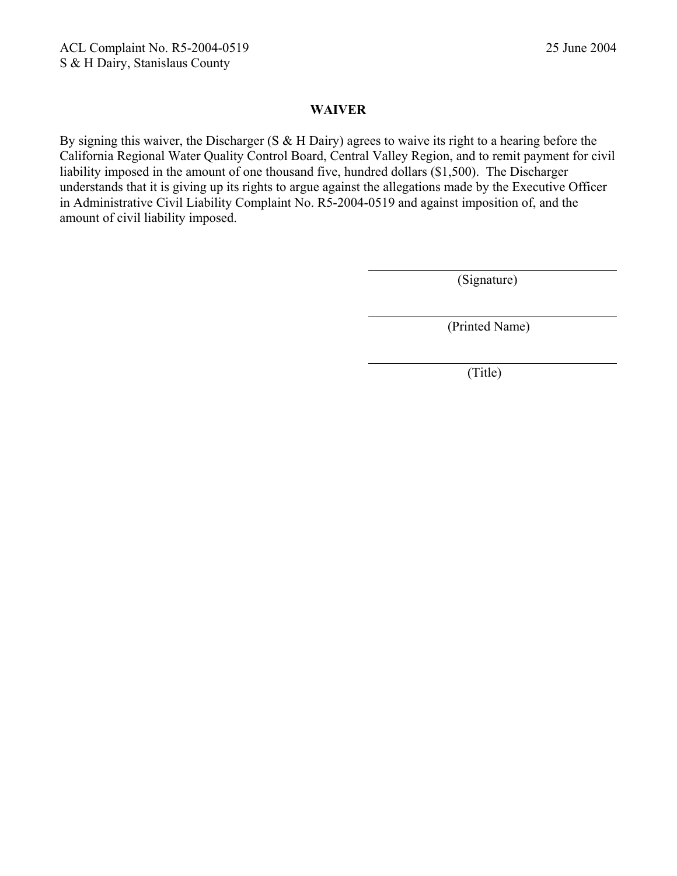#### **WAIVER**

By signing this waiver, the Discharger (S & H Dairy) agrees to waive its right to a hearing before the California Regional Water Quality Control Board, Central Valley Region, and to remit payment for civil liability imposed in the amount of one thousand five, hundred dollars (\$1,500). The Discharger understands that it is giving up its rights to argue against the allegations made by the Executive Officer in Administrative Civil Liability Complaint No. R5-2004-0519 and against imposition of, and the amount of civil liability imposed.

(Signature)

(Printed Name)

(Title)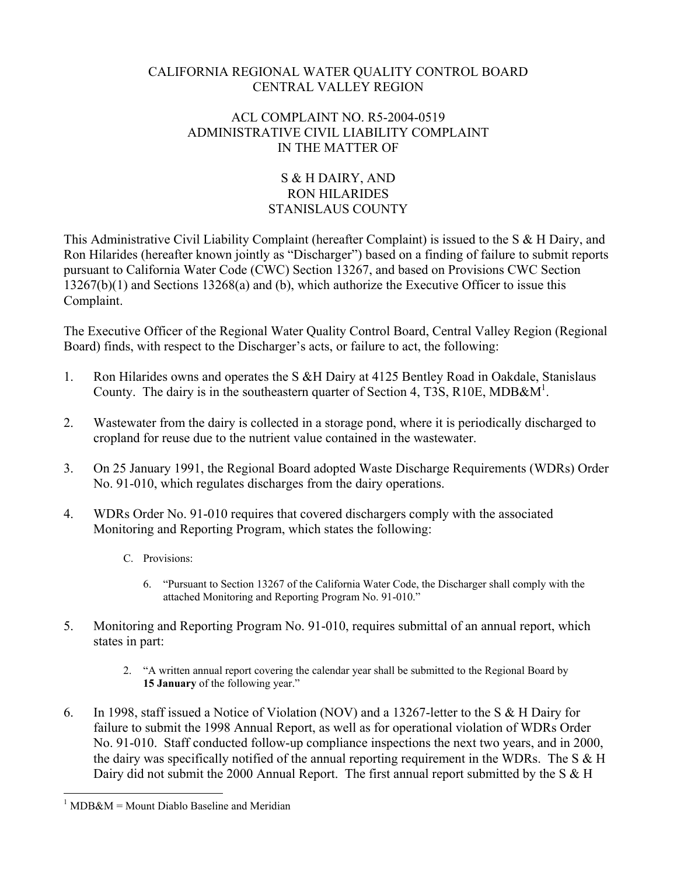#### CALIFORNIA REGIONAL WATER QUALITY CONTROL BOARD CENTRAL VALLEY REGION

### ACL COMPLAINT NO. R5-2004-0519 ADMINISTRATIVE CIVIL LIABILITY COMPLAINT IN THE MATTER OF

## S & H DAIRY, AND RON HILARIDES STANISLAUS COUNTY

This Administrative Civil Liability Complaint (hereafter Complaint) is issued to the S & H Dairy, and Ron Hilarides (hereafter known jointly as "Discharger") based on a finding of failure to submit reports pursuant to California Water Code (CWC) Section 13267, and based on Provisions CWC Section 13267(b)(1) and Sections 13268(a) and (b), which authorize the Executive Officer to issue this Complaint.

The Executive Officer of the Regional Water Quality Control Board, Central Valley Region (Regional Board) finds, with respect to the Discharger's acts, or failure to act, the following:

- 1. Ron Hilarides owns and operates the S &H Dairy at 4125 Bentley Road in Oakdale, Stanislaus County. The dairy is in the southeastern quarter of Section 4, T3S, R10E, MDB&M<sup>1</sup>.
- 2. Wastewater from the dairy is collected in a storage pond, where it is periodically discharged to cropland for reuse due to the nutrient value contained in the wastewater.
- 3. On 25 January 1991, the Regional Board adopted Waste Discharge Requirements (WDRs) Order No. 91-010, which regulates discharges from the dairy operations.
- 4. WDRs Order No. 91-010 requires that covered dischargers comply with the associated Monitoring and Reporting Program, which states the following:
	- C. Provisions:
		- 6. "Pursuant to Section 13267 of the California Water Code, the Discharger shall comply with the attached Monitoring and Reporting Program No. 91-010."
- 5. Monitoring and Reporting Program No. 91-010, requires submittal of an annual report, which states in part:
	- 2. "A written annual report covering the calendar year shall be submitted to the Regional Board by **15 January** of the following year."
- 6. In 1998, staff issued a Notice of Violation (NOV) and a 13267-letter to the S & H Dairy for failure to submit the 1998 Annual Report, as well as for operational violation of WDRs Order No. 91-010. Staff conducted follow-up compliance inspections the next two years, and in 2000, the dairy was specifically notified of the annual reporting requirement in the WDRs. The S & H Dairy did not submit the 2000 Annual Report. The first annual report submitted by the S & H

 $\overline{a}$  $1$  MDB&M = Mount Diablo Baseline and Meridian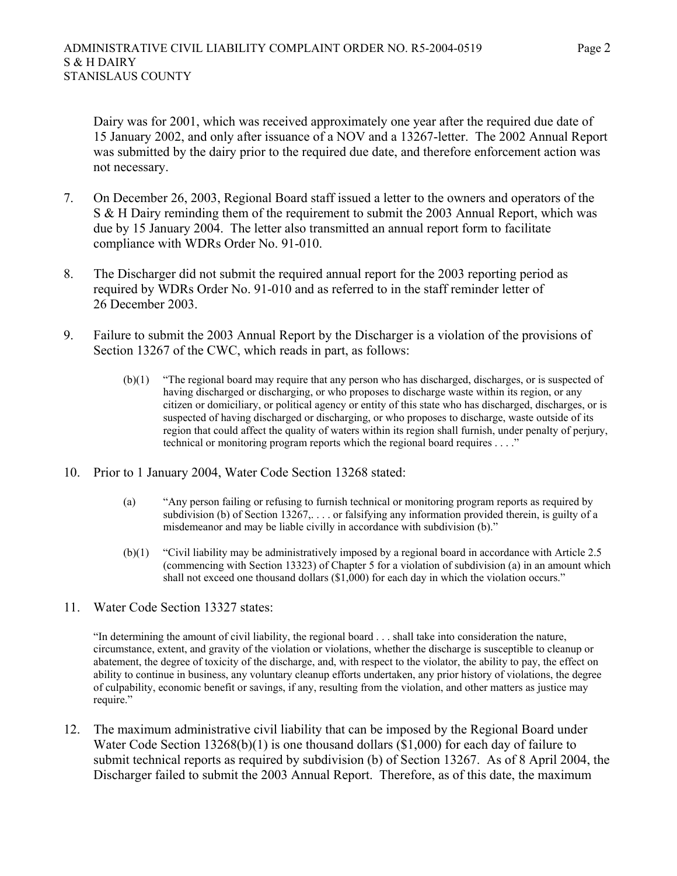Dairy was for 2001, which was received approximately one year after the required due date of 15 January 2002, and only after issuance of a NOV and a 13267-letter. The 2002 Annual Report was submitted by the dairy prior to the required due date, and therefore enforcement action was not necessary.

- 7. On December 26, 2003, Regional Board staff issued a letter to the owners and operators of the S & H Dairy reminding them of the requirement to submit the 2003 Annual Report, which was due by 15 January 2004. The letter also transmitted an annual report form to facilitate compliance with WDRs Order No. 91-010.
- 8. The Discharger did not submit the required annual report for the 2003 reporting period as required by WDRs Order No. 91-010 and as referred to in the staff reminder letter of 26 December 2003.
- 9. Failure to submit the 2003 Annual Report by the Discharger is a violation of the provisions of Section 13267 of the CWC, which reads in part, as follows:
	- (b)(1) "The regional board may require that any person who has discharged, discharges, or is suspected of having discharged or discharging, or who proposes to discharge waste within its region, or any citizen or domiciliary, or political agency or entity of this state who has discharged, discharges, or is suspected of having discharged or discharging, or who proposes to discharge, waste outside of its region that could affect the quality of waters within its region shall furnish, under penalty of perjury, technical or monitoring program reports which the regional board requires . . . ."
- 10. Prior to 1 January 2004, Water Code Section 13268 stated:
	- (a) "Any person failing or refusing to furnish technical or monitoring program reports as required by subdivision (b) of Section 13267,... or falsifying any information provided therein, is guilty of a misdemeanor and may be liable civilly in accordance with subdivision (b)."
	- (b)(1) "Civil liability may be administratively imposed by a regional board in accordance with Article 2.5 (commencing with Section 13323) of Chapter 5 for a violation of subdivision (a) in an amount which shall not exceed one thousand dollars (\$1,000) for each day in which the violation occurs."
- 11. Water Code Section 13327 states:

"In determining the amount of civil liability, the regional board . . . shall take into consideration the nature, circumstance, extent, and gravity of the violation or violations, whether the discharge is susceptible to cleanup or abatement, the degree of toxicity of the discharge, and, with respect to the violator, the ability to pay, the effect on ability to continue in business, any voluntary cleanup efforts undertaken, any prior history of violations, the degree of culpability, economic benefit or savings, if any, resulting from the violation, and other matters as justice may require."

12. The maximum administrative civil liability that can be imposed by the Regional Board under Water Code Section 13268(b)(1) is one thousand dollars (\$1,000) for each day of failure to submit technical reports as required by subdivision (b) of Section 13267. As of 8 April 2004, the Discharger failed to submit the 2003 Annual Report. Therefore, as of this date, the maximum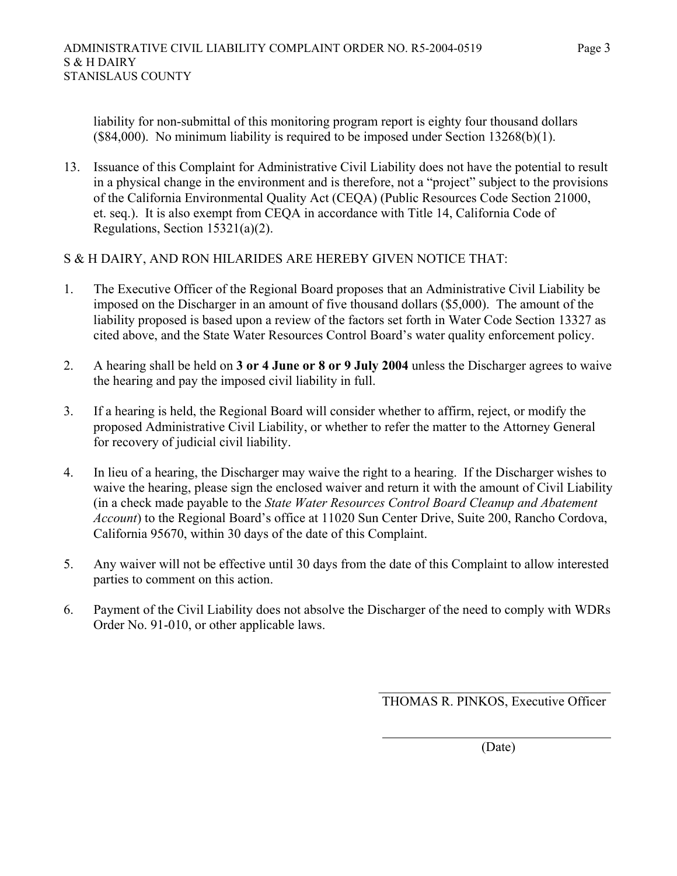liability for non-submittal of this monitoring program report is eighty four thousand dollars (\$84,000). No minimum liability is required to be imposed under Section 13268(b)(1).

13. Issuance of this Complaint for Administrative Civil Liability does not have the potential to result in a physical change in the environment and is therefore, not a "project" subject to the provisions of the California Environmental Quality Act (CEQA) (Public Resources Code Section 21000, et. seq.). It is also exempt from CEQA in accordance with Title 14, California Code of Regulations, Section 15321(a)(2).

#### S & H DAIRY, AND RON HILARIDES ARE HEREBY GIVEN NOTICE THAT:

- 1. The Executive Officer of the Regional Board proposes that an Administrative Civil Liability be imposed on the Discharger in an amount of five thousand dollars (\$5,000). The amount of the liability proposed is based upon a review of the factors set forth in Water Code Section 13327 as cited above, and the State Water Resources Control Board's water quality enforcement policy.
- 2. A hearing shall be held on **3 or 4 June or 8 or 9 July 2004** unless the Discharger agrees to waive the hearing and pay the imposed civil liability in full.
- 3. If a hearing is held, the Regional Board will consider whether to affirm, reject, or modify the proposed Administrative Civil Liability, or whether to refer the matter to the Attorney General for recovery of judicial civil liability.
- 4. In lieu of a hearing, the Discharger may waive the right to a hearing. If the Discharger wishes to waive the hearing, please sign the enclosed waiver and return it with the amount of Civil Liability (in a check made payable to the *State Water Resources Control Board Cleanup and Abatement Account*) to the Regional Board's office at 11020 Sun Center Drive, Suite 200, Rancho Cordova, California 95670, within 30 days of the date of this Complaint.
- 5. Any waiver will not be effective until 30 days from the date of this Complaint to allow interested parties to comment on this action.
- 6. Payment of the Civil Liability does not absolve the Discharger of the need to comply with WDRs Order No. 91-010, or other applicable laws.

 $\mathcal{L}_\text{max}$  and  $\mathcal{L}_\text{max}$  and  $\mathcal{L}_\text{max}$  and  $\mathcal{L}_\text{max}$  and  $\mathcal{L}_\text{max}$  and  $\mathcal{L}_\text{max}$ 

THOMAS R. PINKOS, Executive Officer

(Date)